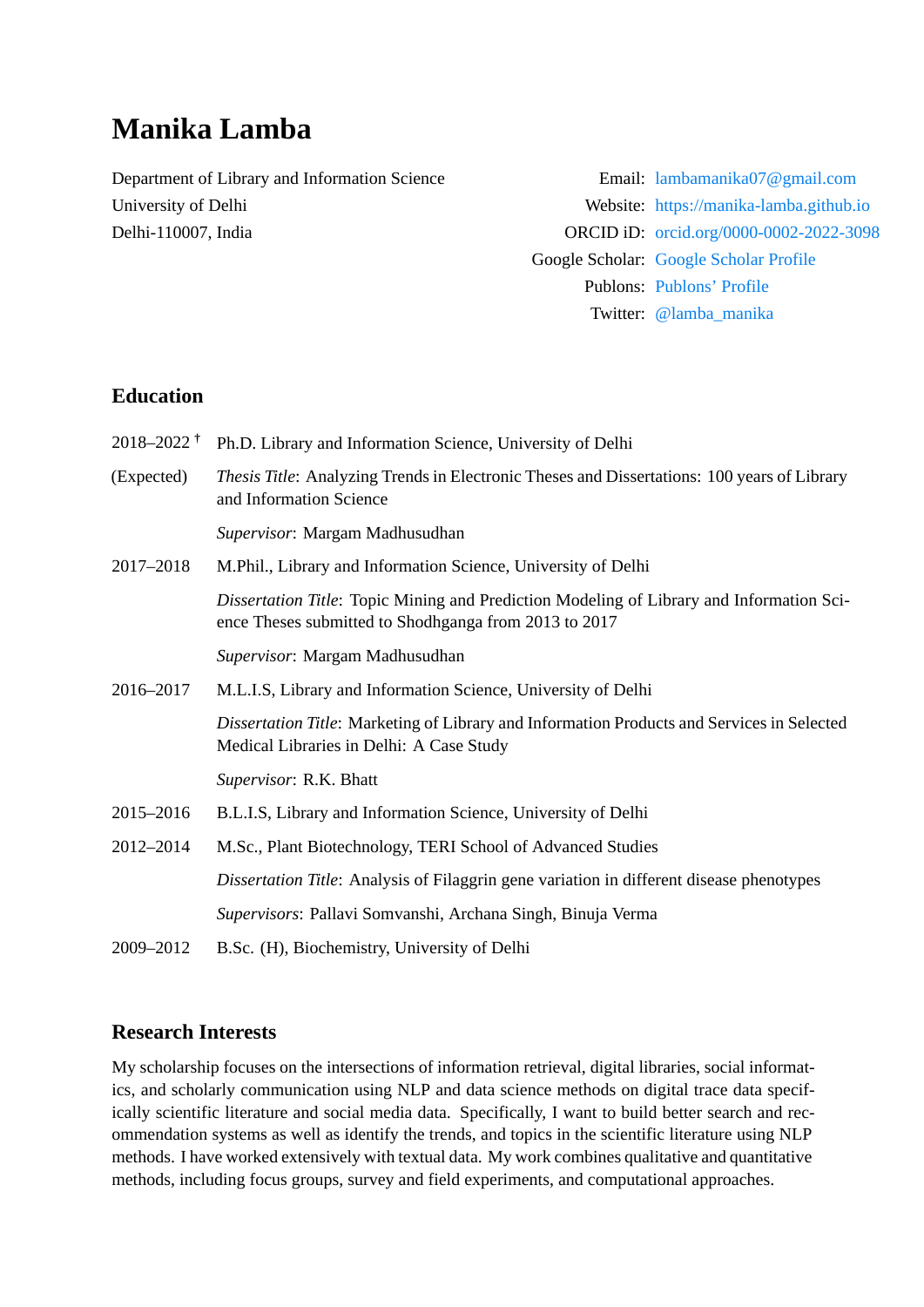# **Manika Lamba**

Department of Library and Information Science Email: [lambamanika07@gmail.com](mailto:lambamanika07@gmail.com)

University of Delhi Website: <https://manika-lamba.github.io> Delhi-110007, India ORCID iD: [orcid.org/0000-0002-2022-3098](http://orcid.org/0000-0002-2022-3098) Google Scholar: [Google Scholar Profile](https://scholar.google.com/citations?user=sfRS9iwAAAAJ&hl=en) Publons: [Publons' Profile](https://publons.com/researcher/1395631/manika-lamba/) Twitter: [@lamba\\_manika](https://twitter.com/lamba_manika)

### **Education**

| 2018–2022 <sup>†</sup> | Ph.D. Library and Information Science, University of Delhi                                                                                        |  |  |
|------------------------|---------------------------------------------------------------------------------------------------------------------------------------------------|--|--|
| (Expected)             | Thesis Title: Analyzing Trends in Electronic Theses and Dissertations: 100 years of Library<br>and Information Science                            |  |  |
|                        | Supervisor: Margam Madhusudhan                                                                                                                    |  |  |
| 2017-2018              | M.Phil., Library and Information Science, University of Delhi                                                                                     |  |  |
|                        | Dissertation Title: Topic Mining and Prediction Modeling of Library and Information Sci-<br>ence Theses submitted to Shodhganga from 2013 to 2017 |  |  |
|                        | Supervisor: Margam Madhusudhan                                                                                                                    |  |  |
| 2016-2017              | M.L.I.S, Library and Information Science, University of Delhi                                                                                     |  |  |
|                        | Dissertation Title: Marketing of Library and Information Products and Services in Selected<br>Medical Libraries in Delhi: A Case Study            |  |  |
|                        | Supervisor: R.K. Bhatt                                                                                                                            |  |  |
| 2015-2016              | B.L.I.S, Library and Information Science, University of Delhi                                                                                     |  |  |
| 2012-2014              | M.Sc., Plant Biotechnology, TERI School of Advanced Studies                                                                                       |  |  |
|                        | Dissertation Title: Analysis of Filaggrin gene variation in different disease phenotypes                                                          |  |  |
|                        | Supervisors: Pallavi Somvanshi, Archana Singh, Binuja Verma                                                                                       |  |  |
| 2009-2012              | B.Sc. (H), Biochemistry, University of Delhi                                                                                                      |  |  |

### **Research Interests**

My scholarship focuses on the intersections of information retrieval, digital libraries, social informatics, and scholarly communication using NLP and data science methods on digital trace data specifically scientific literature and social media data. Specifically, I want to build better search and recommendation systems as well as identify the trends, and topics in the scientific literature using NLP methods. I have worked extensively with textual data. My work combines qualitative and quantitative methods, including focus groups, survey and field experiments, and computational approaches.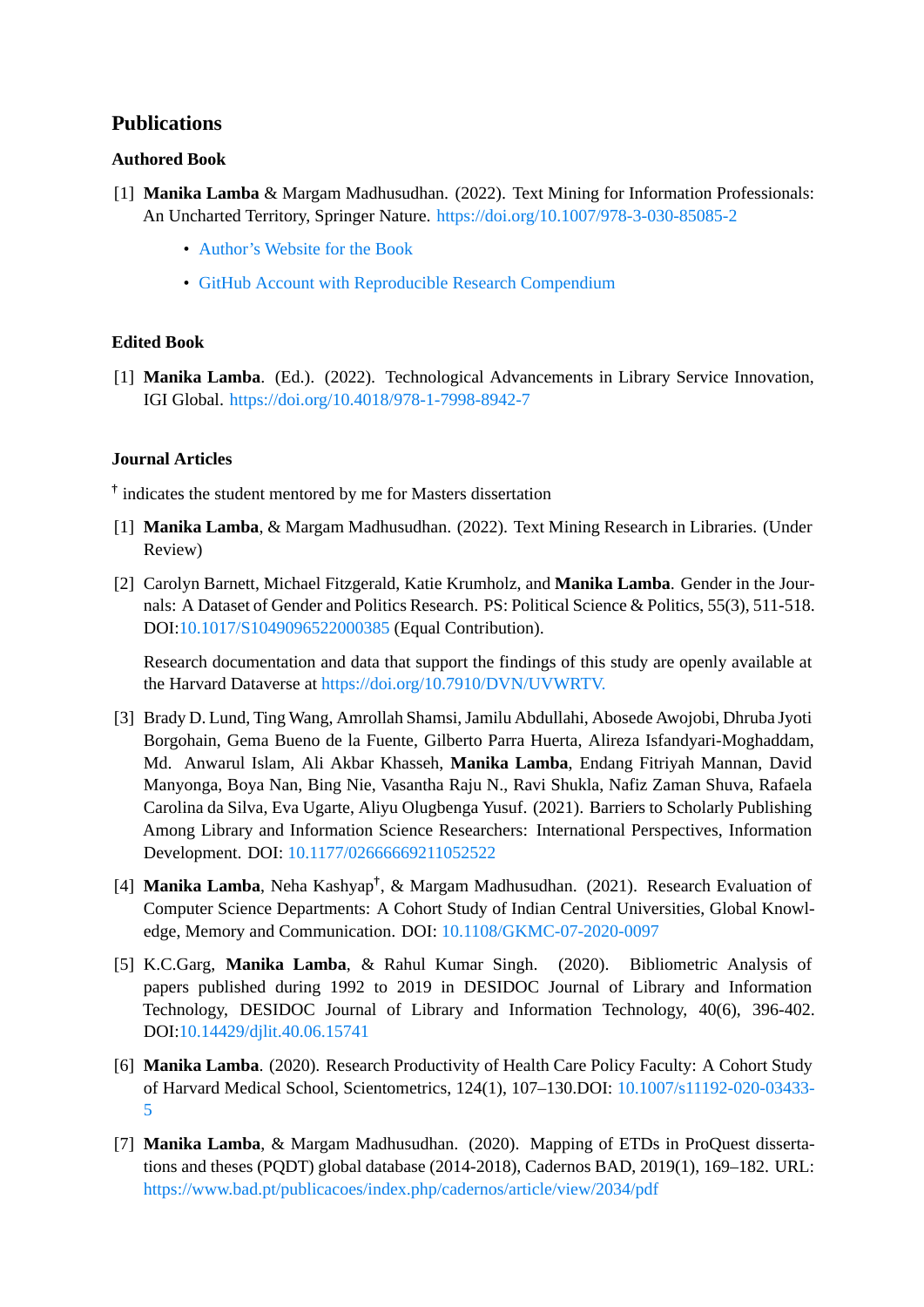### **Publications**

### **Authored Book**

- [1] **Manika Lamba** & Margam Madhusudhan. (2022). Text Mining for Information Professionals: An Uncharted Territory, Springer Nature. <https://doi.org/10.1007/978-3-030-85085-2>
	- [Author's Website for the Book](https://textmining-infopros.github.io/)
	- [GitHub Account with Reproducible Research Compendium](https://github.com/textmining-infopros)

### **Edited Book**

[1] **Manika Lamba**. (Ed.). (2022). Technological Advancements in Library Service Innovation, IGI Global. <https://doi.org/10.4018/978-1-7998-8942-7>

### **Journal Articles**

**†** indicates the student mentored by me for Masters dissertation

- [1] **Manika Lamba**, & Margam Madhusudhan. (2022). Text Mining Research in Libraries. (Under Review)
- [2] Carolyn Barnett, Michael Fitzgerald, Katie Krumholz, and **Manika Lamba**. Gender in the Journals: A Dataset of Gender and Politics Research. PS: Political Science & Politics, 55(3), 511-518. DOI:[10.1017/S1049096522000385](https://www.cambridge.org/core/journals/ps-political-science-and-politics/article/gender-research-in-political-science-journals-a-dataset/EB9C6E70D55EB291B1A7775357DB1024) (Equal Contribution).

Research documentation and data that support the findings of this study are openly available at the Harvard Dataverse at [https://doi.org/10.7910/DVN/UVWRTV.](https://dataverse.harvard.edu/dataset.xhtml?persistentId=doi:10.7910/DVN/UVWRTV)

- [3] Brady D. Lund, Ting Wang, Amrollah Shamsi, Jamilu Abdullahi, Abosede Awojobi, Dhruba Jyoti Borgohain, Gema Bueno de la Fuente, Gilberto Parra Huerta, Alireza Isfandyari-Moghaddam, Md. Anwarul Islam, Ali Akbar Khasseh, **Manika Lamba**, Endang Fitriyah Mannan, David Manyonga, Boya Nan, Bing Nie, Vasantha Raju N., Ravi Shukla, Nafiz Zaman Shuva, Rafaela Carolina da Silva, Eva Ugarte, Aliyu Olugbenga Yusuf. (2021). Barriers to Scholarly Publishing Among Library and Information Science Researchers: International Perspectives, Information Development. DOI: [10.1177/02666669211052522](https://journals.sagepub.com/doi/10.1177/02666669211052522)
- [4] **Manika Lamba**, Neha Kashyap**†** , & Margam Madhusudhan. (2021). Research Evaluation of Computer Science Departments: A Cohort Study of Indian Central Universities, Global Knowledge, Memory and Communication. DOI: [10.1108/GKMC-07-2020-0097](https://www.emerald.com/insight/content/doi/10.1108/GKMC-07-2020-0097/full/html?skipTracking=true)
- [5] K.C.Garg, **Manika Lamba**, & Rahul Kumar Singh. (2020). Bibliometric Analysis of papers published during 1992 to 2019 in DESIDOC Journal of Library and Information Technology, DESIDOC Journal of Library and Information Technology, 40(6), 396-402. DOI:[10.14429/djlit.40.06.15741](https://doi.org/10.14429/djlit.40.06.15741)
- [6] **Manika Lamba**. (2020). Research Productivity of Health Care Policy Faculty: A Cohort Study of Harvard Medical School, Scientometrics, 124(1), 107–130.DOI: [10.1007/s11192-020-03433-](https://link.springer.com/article/10.1007%2Fs11192-020-03433-5) [5](https://link.springer.com/article/10.1007%2Fs11192-020-03433-5)
- [7] **Manika Lamba**, & Margam Madhusudhan. (2020). Mapping of ETDs in ProQuest dissertations and theses (PQDT) global database (2014-2018), Cadernos BAD, 2019(1), 169–182. URL: <https://www.bad.pt/publicacoes/index.php/cadernos/article/view/2034/pdf>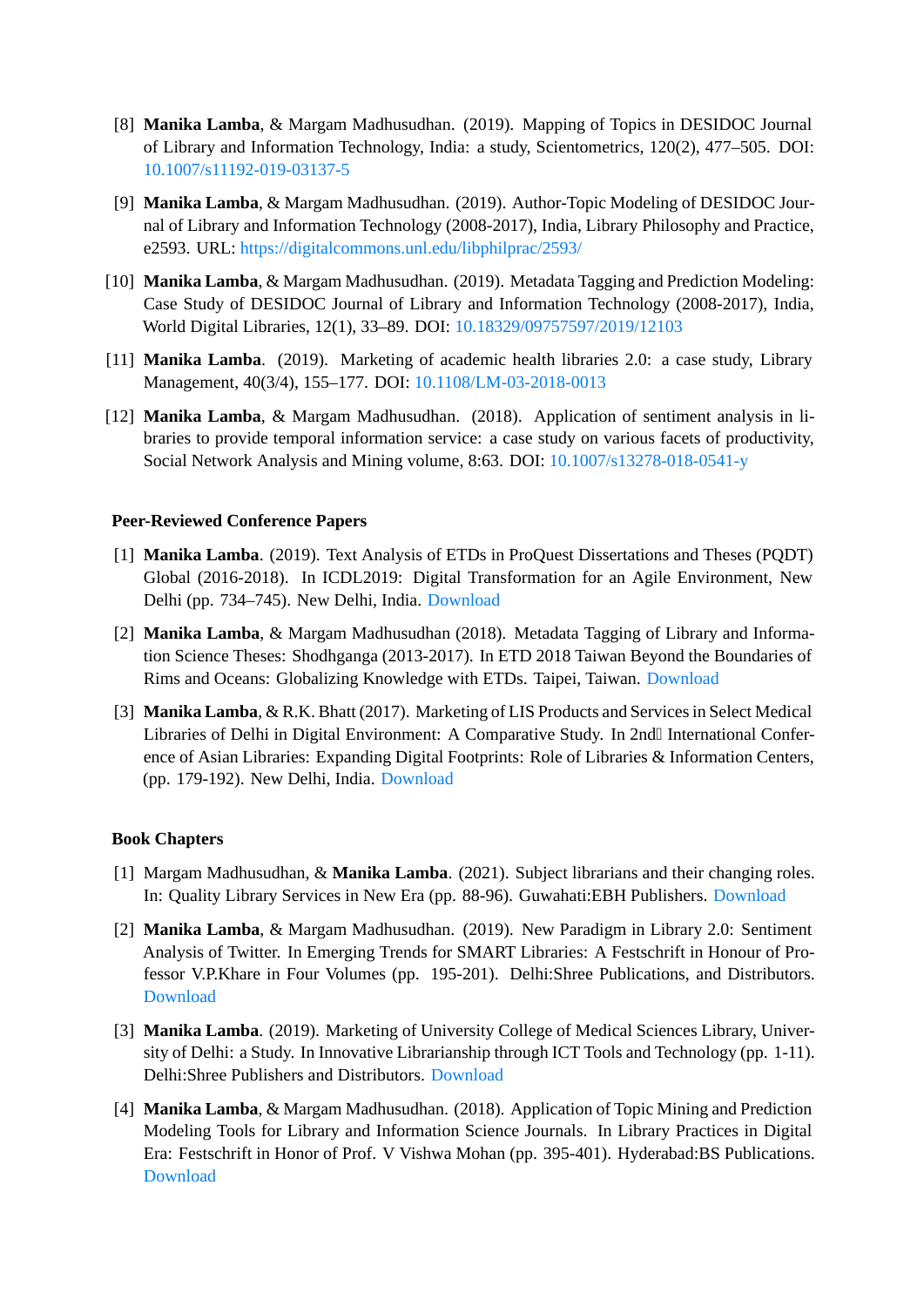- [8] **Manika Lamba**, & Margam Madhusudhan. (2019). Mapping of Topics in DESIDOC Journal of Library and Information Technology, India: a study, Scientometrics, 120(2), 477–505. DOI: [10.1007/s11192-019-03137-5](https://link.springer.com/article/10.1007%2Fs11192-019-03137-5)
- [9] **Manika Lamba**, & Margam Madhusudhan. (2019). Author-Topic Modeling of DESIDOC Journal of Library and Information Technology (2008-2017), India, Library Philosophy and Practice, e2593. URL: <https://digitalcommons.unl.edu/libphilprac/2593/>
- [10] **Manika Lamba**, & Margam Madhusudhan. (2019). Metadata Tagging and Prediction Modeling: Case Study of DESIDOC Journal of Library and Information Technology (2008-2017), India, World Digital Libraries, 12(1), 33–89. DOI: [10.18329/09757597/2019/12103](https://content.iospress.com/articles/world-digital-libraries-an-international-journal/wdl12103)
- [11] **Manika Lamba**. (2019). Marketing of academic health libraries 2.0: a case study, Library Management, 40(3/4), 155–177. DOI: [10.1108/LM-03-2018-0013](https://www.emerald.com/insight/content/doi/10.1108/LM-03-2018-0013/full/html)
- [12] **Manika Lamba**, & Margam Madhusudhan. (2018). Application of sentiment analysis in libraries to provide temporal information service: a case study on various facets of productivity, Social Network Analysis and Mining volume, 8:63. DOI: [10.1007/s13278-018-0541-y](https://link.springer.com/article/10.1007%2Fs13278-018-0541-y)

#### **Peer-Reviewed Conference Papers**

- [1] **Manika Lamba**. (2019). Text Analysis of ETDs in ProQuest Dissertations and Theses (PQDT) Global (2016-2018). In ICDL2019: Digital Transformation for an Agile Environment, New Delhi (pp. 734–745). New Delhi, India. [Download](https://www.teriin.org/events/icdl/pdf/ICDL_Confrence_Paper_Full.pdf)
- [2] **Manika Lamba**, & Margam Madhusudhan (2018). Metadata Tagging of Library and Information Science Theses: Shodhganga (2013-2017). In ETD 2018 Taiwan Beyond the Boundaries of Rims and Oceans: Globalizing Knowledge with ETDs. Taipei, Taiwan. [Download](https://zenodo.org/record/1475795#.YFyWUa8zbb0)
- [3] **Manika Lamba**, & R.K. Bhatt (2017). Marketing of LIS Products and Services in Select Medical Libraries of Delhi in Digital Environment: A Comparative Study. In 2nd International Conference of Asian Libraries: Expanding Digital Footprints: Role of Libraries & Information Centers, (pp. 179-192). New Delhi, India. [Download](https://zenodo.org/record/1475769#.X19gt2gzbb2)

#### **Book Chapters**

- [1] Margam Madhusudhan, & **Manika Lamba**. (2021). Subject librarians and their changing roles. In: Quality Library Services in New Era (pp. 88-96). Guwahati:EBH Publishers. [Download](http://doi.org/10.5281/zenodo.4721411)
- [2] **Manika Lamba**, & Margam Madhusudhan. (2019). New Paradigm in Library 2.0: Sentiment Analysis of Twitter. In Emerging Trends for SMART Libraries: A Festschrift in Honour of Professor V.P.Khare in Four Volumes (pp. 195-201). Delhi:Shree Publications, and Distributors. **[Download](https://zenodo.org/record/3241749#.X19h7mgzbb2)**
- [3] **Manika Lamba**. (2019). Marketing of University College of Medical Sciences Library, University of Delhi: a Study. In Innovative Librarianship through ICT Tools and Technology (pp. 1-11). Delhi:Shree Publishers and Distributors. [Download](https://zenodo.org/record/1475769#.X19ic2gzbb2)
- [4] **Manika Lamba**, & Margam Madhusudhan. (2018). Application of Topic Mining and Prediction Modeling Tools for Library and Information Science Journals. In Library Practices in Digital Era: Festschrift in Honor of Prof. V Vishwa Mohan (pp. 395-401). Hyderabad:BS Publications. [Download](https://zenodo.org/record/1298739#.X19jM2gzbb2)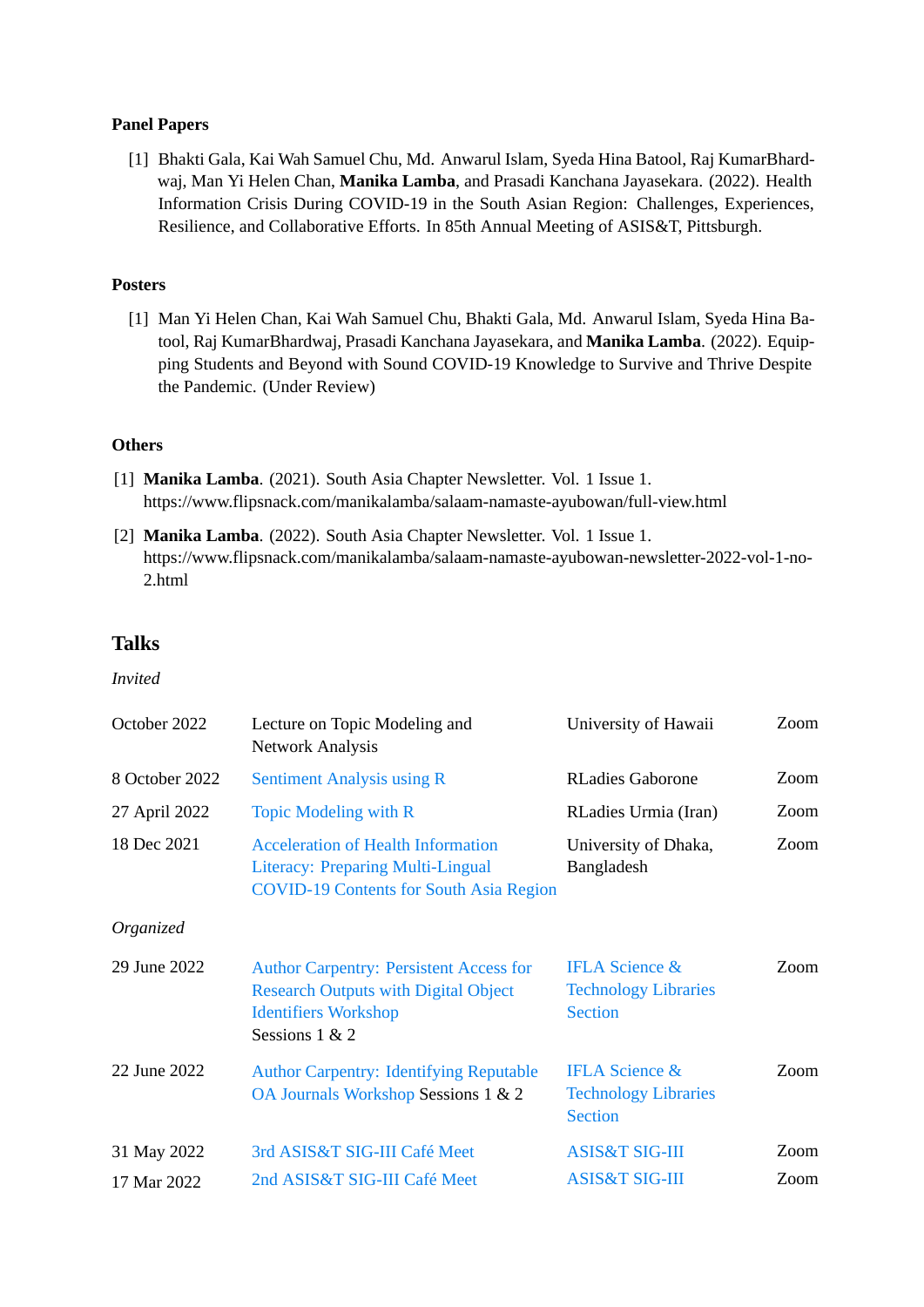#### **Panel Papers**

[1] Bhakti Gala, Kai Wah Samuel Chu, Md. Anwarul Islam, Syeda Hina Batool, Raj KumarBhardwaj, Man Yi Helen Chan, **Manika Lamba**, and Prasadi Kanchana Jayasekara. (2022). Health Information Crisis During COVID-19 in the South Asian Region: Challenges, Experiences, Resilience, and Collaborative Efforts. In 85th Annual Meeting of ASIS&T, Pittsburgh.

#### **Posters**

[1] Man Yi Helen Chan, Kai Wah Samuel Chu, Bhakti Gala, Md. Anwarul Islam, Syeda Hina Batool, Raj KumarBhardwaj, Prasadi Kanchana Jayasekara, and **Manika Lamba**. (2022). Equipping Students and Beyond with Sound COVID-19 Knowledge to Survive and Thrive Despite the Pandemic. (Under Review)

#### **Others**

- [1] **Manika Lamba**. (2021). South Asia Chapter Newsletter. Vol. 1 Issue 1. https://www.flipsnack.com/manikalamba/salaam-namaste-ayubowan/full-view.html
- [2] **Manika Lamba**. (2022). South Asia Chapter Newsletter. Vol. 1 Issue 1. https://www.flipsnack.com/manikalamba/salaam-namaste-ayubowan-newsletter-2022-vol-1-no-2.html

### **Talks**

*Invited*

| October 2022   | Lecture on Topic Modeling and<br><b>Network Analysis</b>                                                                                       | University of Hawaii                                                       | Zoom |
|----------------|------------------------------------------------------------------------------------------------------------------------------------------------|----------------------------------------------------------------------------|------|
| 8 October 2022 | <b>Sentiment Analysis using R</b>                                                                                                              | <b>RLadies Gaborone</b>                                                    | Zoom |
| 27 April 2022  | <b>Topic Modeling with R</b>                                                                                                                   | RLadies Urmia (Iran)                                                       | Zoom |
| 18 Dec 2021    | <b>Acceleration of Health Information</b><br><b>Literacy: Preparing Multi-Lingual</b><br><b>COVID-19 Contents for South Asia Region</b>        | University of Dhaka,<br>Bangladesh                                         | Zoom |
| Organized      |                                                                                                                                                |                                                                            |      |
| 29 June 2022   | <b>Author Carpentry: Persistent Access for</b><br><b>Research Outputs with Digital Object</b><br><b>Identifiers Workshop</b><br>Sessions 1 & 2 | <b>IFLA Science &amp;</b><br><b>Technology Libraries</b><br><b>Section</b> | Zoom |
| 22 June 2022   | <b>Author Carpentry: Identifying Reputable</b><br>OA Journals Workshop Sessions 1 & 2                                                          | <b>IFLA Science &amp;</b><br><b>Technology Libraries</b><br><b>Section</b> | Zoom |
| 31 May 2022    | 3rd ASIS&T SIG-III Café Meet                                                                                                                   | <b>ASIS&amp;T SIG-III</b>                                                  | Zoom |
| 17 Mar 2022    | 2nd ASIS&T SIG-III Café Meet                                                                                                                   | <b>ASIS&amp;T SIG-III</b>                                                  | Zoom |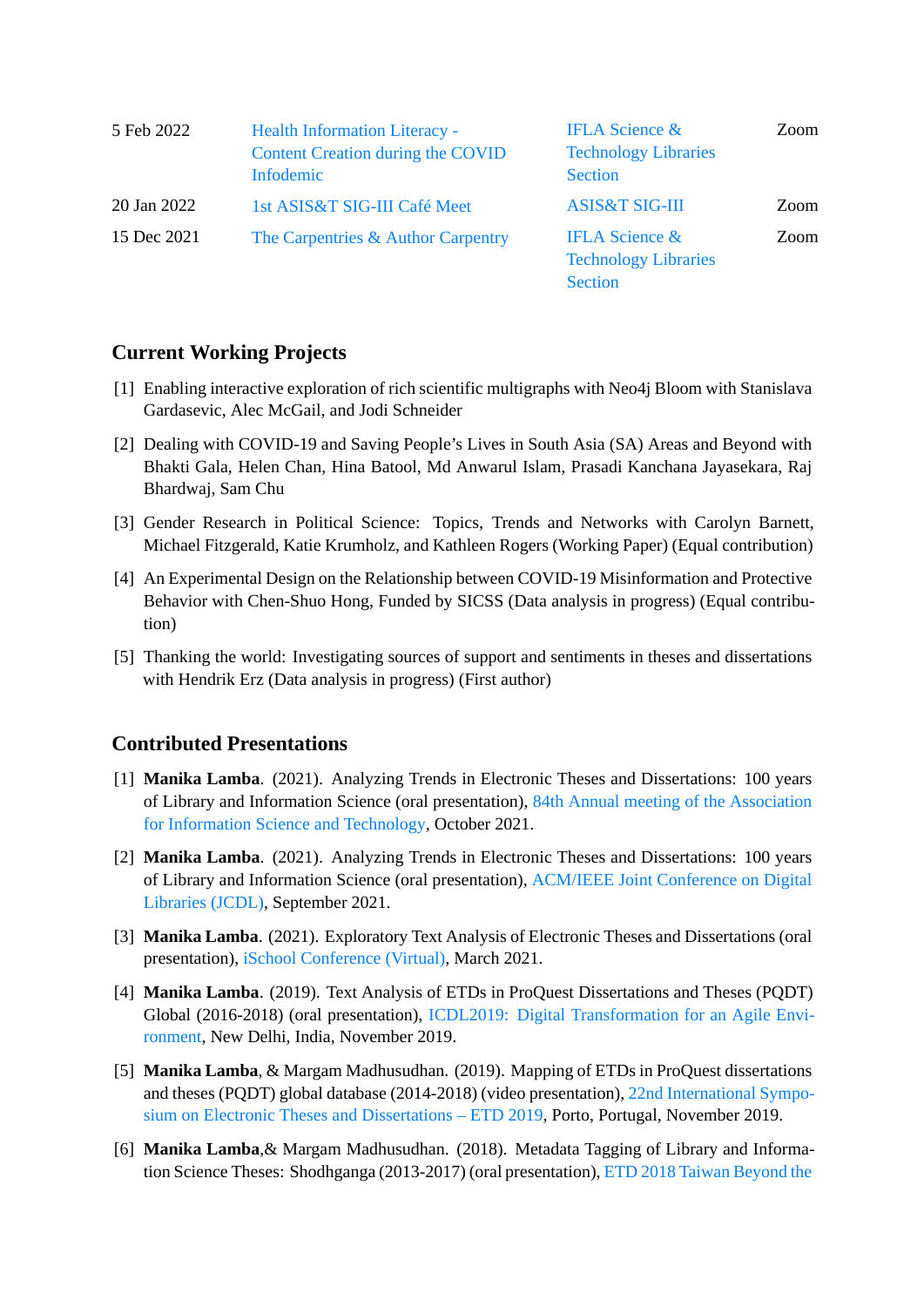| 5 Feb 2022  | <b>Health Information Literacy -</b><br><b>Content Creation during the COVID</b><br><b>Infodemic</b> | <b>IFLA Science &amp;</b><br><b>Technology Libraries</b><br><b>Section</b> | Zoom |
|-------------|------------------------------------------------------------------------------------------------------|----------------------------------------------------------------------------|------|
| 20 Jan 2022 | 1st ASIS&T SIG-III Café Meet                                                                         | <b>ASIS&amp;T SIG-III</b>                                                  | Zoom |
| 15 Dec 2021 | The Carpentries & Author Carpentry                                                                   | <b>IFLA Science &amp;</b><br><b>Technology Libraries</b><br><b>Section</b> | Zoom |

### **Current Working Projects**

- [1] Enabling interactive exploration of rich scientific multigraphs with Neo4j Bloom with Stanislava Gardasevic, Alec McGail, and Jodi Schneider
- [2] Dealing with COVID-19 and Saving People's Lives in South Asia (SA) Areas and Beyond with Bhakti Gala, Helen Chan, Hina Batool, Md Anwarul Islam, Prasadi Kanchana Jayasekara, Raj Bhardwaj, Sam Chu
- [3] Gender Research in Political Science: Topics, Trends and Networks with Carolyn Barnett, Michael Fitzgerald, Katie Krumholz, and Kathleen Rogers (Working Paper) (Equal contribution)
- [4] An Experimental Design on the Relationship between COVID-19 Misinformation and Protective Behavior with Chen-Shuo Hong, Funded by SICSS (Data analysis in progress) (Equal contribution)
- [5] Thanking the world: Investigating sources of support and sentiments in theses and dissertations with Hendrik Erz (Data analysis in progress) (First author)

### **Contributed Presentations**

- [1] **Manika Lamba**. (2021). Analyzing Trends in Electronic Theses and Dissertations: 100 years of Library and Information Science (oral presentation), [84th Annual meeting of the Association](https://www.asist.org/am21/) [for Information Science and Technology](https://www.asist.org/am21/), October 2021.
- [2] **Manika Lamba**. (2021). Analyzing Trends in Electronic Theses and Dissertations: 100 years of Library and Information Science (oral presentation), [ACM/IEEE Joint Conference on Digital](https://2021.jcdl.org/) [Libraries \(JCDL\)](https://2021.jcdl.org/), September 2021.
- [3] **Manika Lamba**. (2021). Exploratory Text Analysis of Electronic Theses and Dissertations (oral presentation), [iSchool Conference \(Virtual\),](https://ischools.org/iConference) March 2021.
- [4] **Manika Lamba**. (2019). Text Analysis of ETDs in ProQuest Dissertations and Theses (PQDT) Global (2016-2018) (oral presentation), [ICDL2019: Digital Transformation for an Agile Envi](https://www.teriin.org/events/icdl/)[ronment,](https://www.teriin.org/events/icdl/) New Delhi, India, November 2019.
- [5] **Manika Lamba**, & Margam Madhusudhan. (2019). Mapping of ETDs in ProQuest dissertations and theses (PQDT) global database (2014-2018) (video presentation), [22nd International Sympo](http://etd2019.upt.pt/)[sium on Electronic Theses and Dissertations – ETD 2019](http://etd2019.upt.pt/), Porto, Portugal, November 2019.
- [6] **Manika Lamba**,& Margam Madhusudhan. (2018). Metadata Tagging of Library and Information Science Theses: Shodhganga (2013-2017) (oral presentation), [ETD 2018 Taiwan Beyond the](http://etd2018.ncl.edu.tw/en/)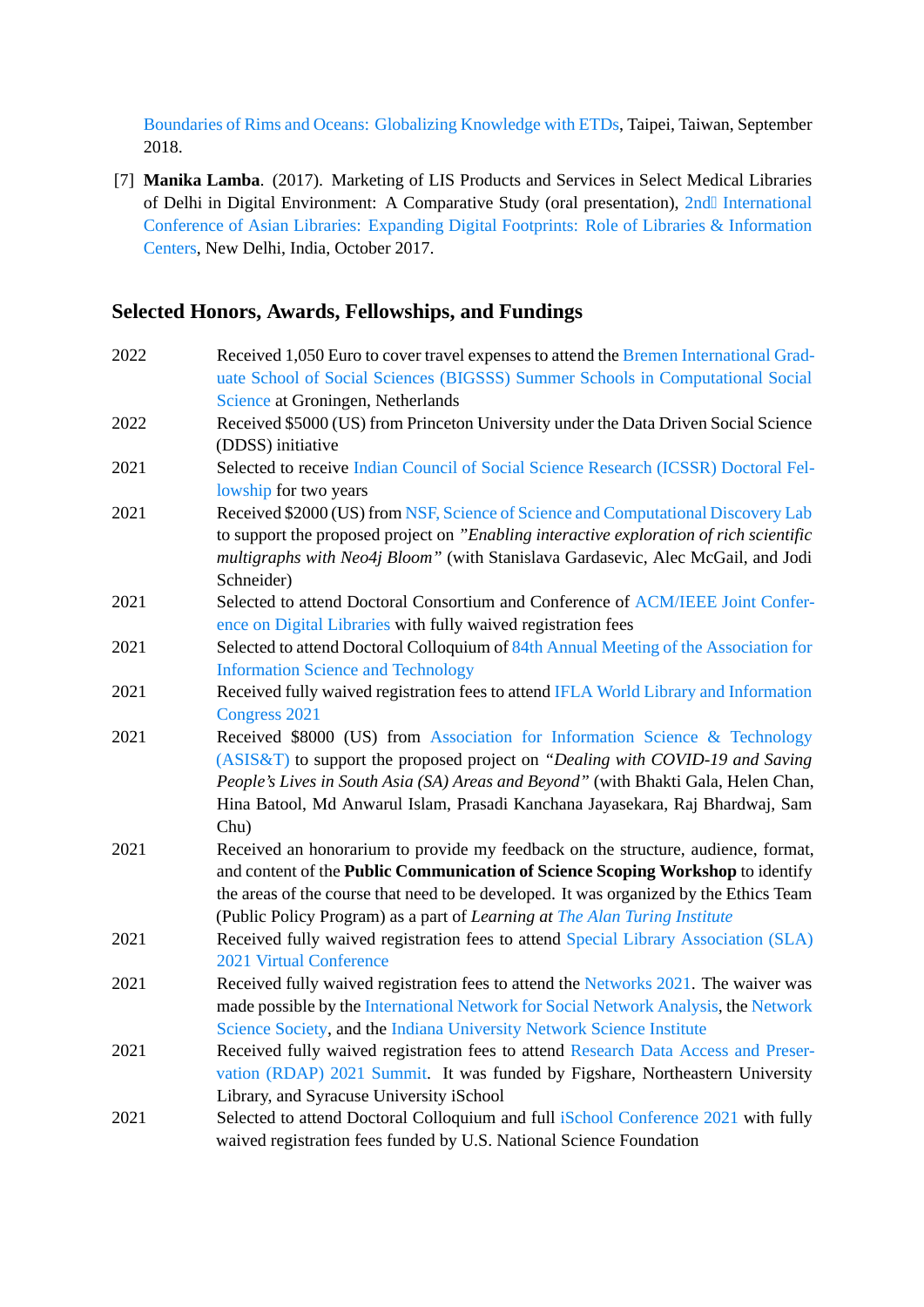[Boundaries of Rims and Oceans: Globalizing Knowledge with ETDs](http://etd2018.ncl.edu.tw/en/), Taipei, Taiwan, September 2018.

[7] **Manika Lamba**. (2017). Marketing of LIS Products and Services in Select Medical Libraries of Delhi in Digital Environment: A Comparative Study (oral presentation), [2nd International](https://www.jmi.ac.in/upload/EventDetail/ical2017_brochure_2017october26_28.pdf) [Conference of Asian Libraries: Expanding Digital Footprints: Role of Libraries & Information](https://www.jmi.ac.in/upload/EventDetail/ical2017_brochure_2017october26_28.pdf) [Centers,](https://www.jmi.ac.in/upload/EventDetail/ical2017_brochure_2017october26_28.pdf) New Delhi, India, October 2017.

### **Selected Honors, Awards, Fellowships, and Fundings**

| 2022 | Received 1,050 Euro to cover travel expenses to attend the Bremen International Grad-   |
|------|-----------------------------------------------------------------------------------------|
|      | uate School of Social Sciences (BIGSSS) Summer Schools in Computational Social          |
|      | Science at Groningen, Netherlands                                                       |
| 2022 | Received \$5000 (US) from Princeton University under the Data Driven Social Science     |
|      | (DDSS) initiative                                                                       |
| 2021 | Selected to receive Indian Council of Social Science Research (ICSSR) Doctoral Fel-     |
|      | lowship for two years                                                                   |
| 2021 | Received \$2000 (US) from NSF, Science of Science and Computational Discovery Lab       |
|      | to support the proposed project on "Enabling interactive exploration of rich scientific |
|      | multigraphs with Neo4j Bloom" (with Stanislava Gardasevic, Alec McGail, and Jodi        |
|      | Schneider)                                                                              |
| 2021 | Selected to attend Doctoral Consortium and Conference of ACM/IEEE Joint Confer-         |
|      | ence on Digital Libraries with fully waived registration fees                           |
| 2021 | Selected to attend Doctoral Colloquium of 84th Annual Meeting of the Association for    |
|      | <b>Information Science and Technology</b>                                               |
| 2021 | Received fully waived registration fees to attend IFLA World Library and Information    |
|      | <b>Congress 2021</b>                                                                    |
| 2021 | Received \$8000 (US) from Association for Information Science & Technology              |
|      | (ASIS&T) to support the proposed project on "Dealing with COVID-19 and Saving           |
|      | People's Lives in South Asia (SA) Areas and Beyond" (with Bhakti Gala, Helen Chan,      |
|      | Hina Batool, Md Anwarul Islam, Prasadi Kanchana Jayasekara, Raj Bhardwaj, Sam           |
|      | Chu)                                                                                    |
| 2021 | Received an honorarium to provide my feedback on the structure, audience, format,       |
|      | and content of the Public Communication of Science Scoping Workshop to identify         |
|      | the areas of the course that need to be developed. It was organized by the Ethics Team  |
|      | (Public Policy Program) as a part of Learning at The Alan Turing Institute              |
| 2021 | Received fully waived registration fees to attend Special Library Association (SLA)     |
|      | 2021 Virtual Conference                                                                 |
| 2021 | Received fully waived registration fees to attend the Networks 2021. The waiver was     |
|      | made possible by the International Network for Social Network Analysis, the Network     |
|      | Science Society, and the Indiana University Network Science Institute                   |
| 2021 | Received fully waived registration fees to attend Research Data Access and Preser-      |
|      | vation (RDAP) 2021 Summit. It was funded by Figshare, Northeastern University           |
|      | Library, and Syracuse University iSchool                                                |
| 2021 | Selected to attend Doctoral Colloquium and full iSchool Conference 2021 with fully      |
|      | waived registration fees funded by U.S. National Science Foundation                     |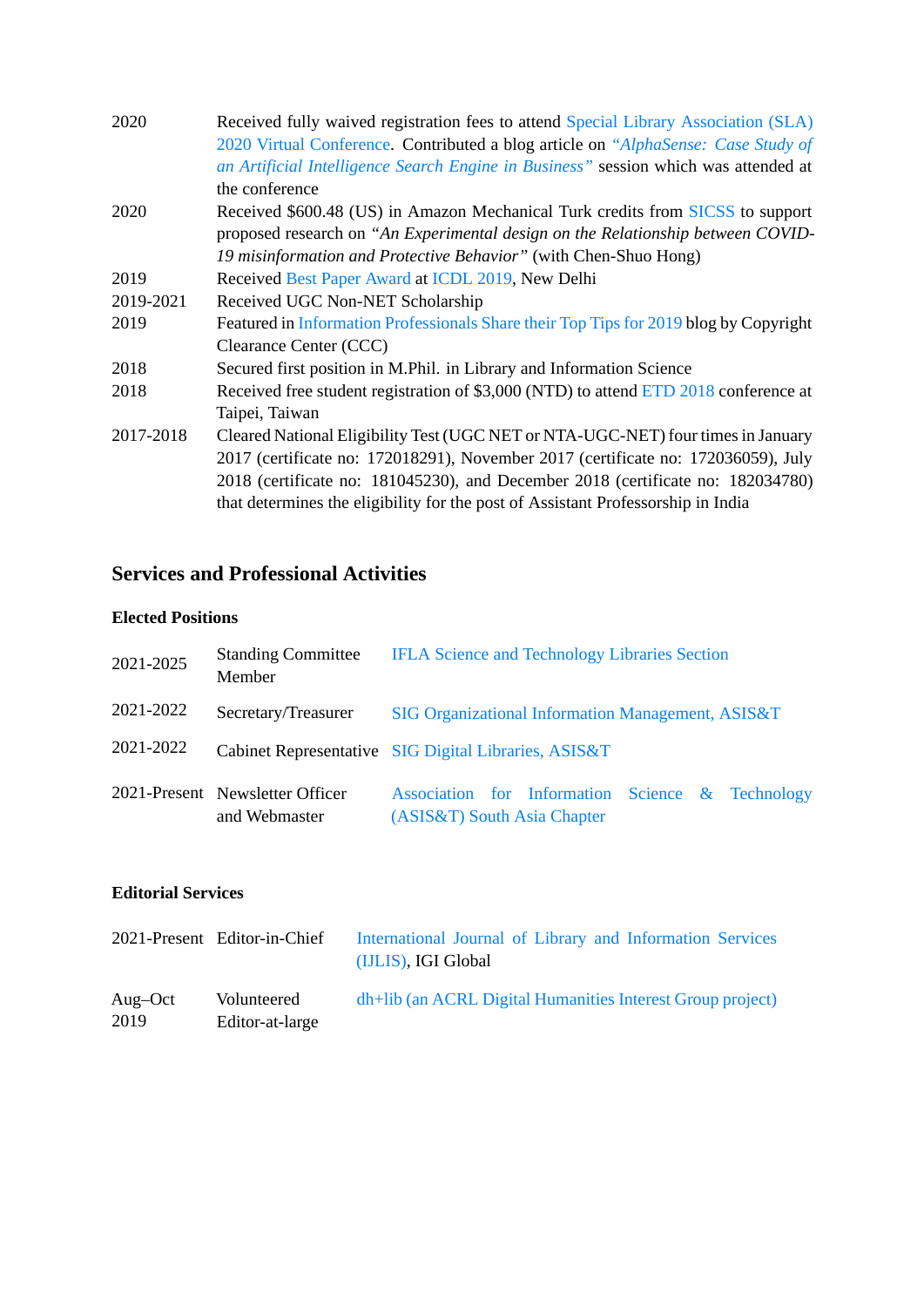| Received fully waived registration fees to attend Special Library Association (SLA)   |
|---------------------------------------------------------------------------------------|
| 2020 Virtual Conference. Contributed a blog article on "AlphaSense: Case Study of     |
| an Artificial Intelligence Search Engine in Business" session which was attended at   |
| the conference                                                                        |
| Received \$600.48 (US) in Amazon Mechanical Turk credits from SICSS to support        |
| proposed research on "An Experimental design on the Relationship between COVID-       |
| 19 misinformation and Protective Behavior" (with Chen-Shuo Hong)                      |
| Received Best Paper Award at ICDL 2019, New Delhi                                     |
| Received UGC Non-NET Scholarship                                                      |
| Featured in Information Professionals Share their Top Tips for 2019 blog by Copyright |
| Clearance Center (CCC)                                                                |
| Secured first position in M.Phil. in Library and Information Science                  |
| Received free student registration of \$3,000 (NTD) to attend ETD 2018 conference at  |
| Taipei, Taiwan                                                                        |
| Cleared National Eligibility Test (UGC NET or NTA-UGC-NET) four times in January      |
| 2017 (certificate no: 172018291), November 2017 (certificate no: 172036059), July     |
| 2018 (certificate no: 181045230), and December 2018 (certificate no: 182034780)       |
| that determines the eligibility for the post of Assistant Professorship in India      |
|                                                                                       |

# **Services and Professional Activities**

### **Elected Positions**

| 2021-2025 | <b>Standing Committee</b><br>Member              | <b>IFLA Science and Technology Libraries Section</b>                            |
|-----------|--------------------------------------------------|---------------------------------------------------------------------------------|
| 2021-2022 | Secretary/Treasurer                              | SIG Organizational Information Management, ASIS&T                               |
| 2021-2022 |                                                  | Cabinet Representative SIG Digital Libraries, ASIS&T                            |
|           | 2021-Present Newsletter Officer<br>and Webmaster | Association for Information Science & Technology<br>(ASIS&T) South Asia Chapter |

### **Editorial Services**

|                 | 2021-Present Editor-in-Chief   | International Journal of Library and Information Services<br>(IJLIS), IGI Global |
|-----------------|--------------------------------|----------------------------------------------------------------------------------|
| Aug–Oct<br>2019 | Volunteered<br>Editor-at-large | dh+lib (an ACRL Digital Humanities Interest Group project)                       |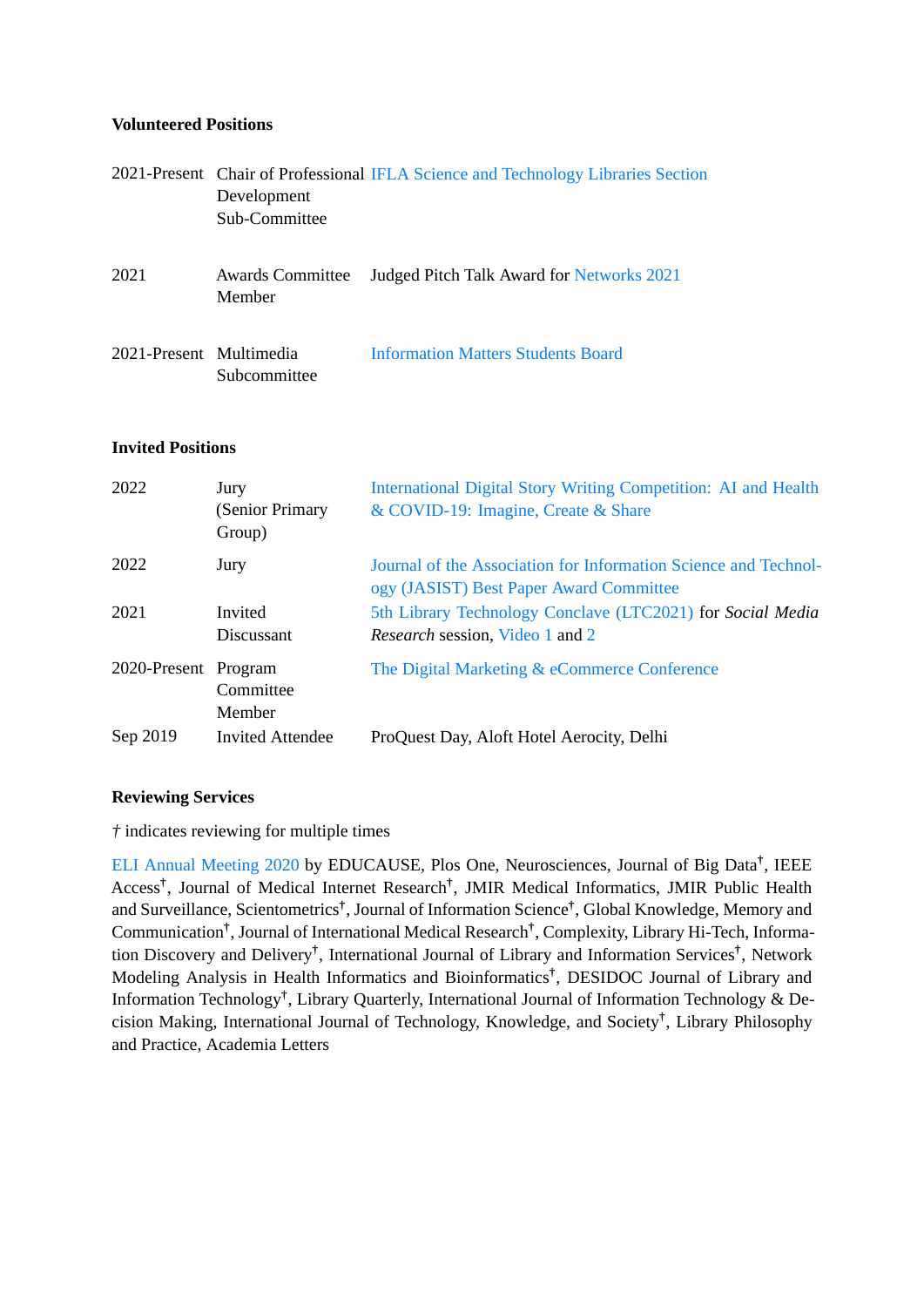#### **Volunteered Positions**

|                         | Development<br>Sub-Committee      | 2021-Present Chair of Professional IFLA Science and Technology Libraries Section |
|-------------------------|-----------------------------------|----------------------------------------------------------------------------------|
| 2021                    | <b>Awards Committee</b><br>Member | Judged Pitch Talk Award for Networks 2021                                        |
| 2021-Present Multimedia | Subcommittee                      | <b>Information Matters Students Board</b>                                        |

### **Invited Positions**

| 2022                 | Jury<br>(Senior Primary<br>Group) | International Digital Story Writing Competition: AI and Health<br>& COVID-19: Imagine, Create & Share      |
|----------------------|-----------------------------------|------------------------------------------------------------------------------------------------------------|
| 2022                 | Jury                              | Journal of the Association for Information Science and Technol-<br>ogy (JASIST) Best Paper Award Committee |
| 2021                 | Invited                           | 5th Library Technology Conclave (LTC2021) for Social Media                                                 |
|                      | <b>Discussant</b>                 | Research session, Video 1 and 2                                                                            |
| 2020-Present Program |                                   | The Digital Marketing & eCommerce Conference                                                               |
|                      | Committee                         |                                                                                                            |
|                      | Member                            |                                                                                                            |
| Sep 2019             | Invited Attendee                  | ProQuest Day, Aloft Hotel Aerocity, Delhi                                                                  |

### **Reviewing Services**

*†* indicates reviewing for multiple times

[ELI Annual Meeting 2020](https://www.youracclaim.com/badges/5a578bcf-52b8-45c1-bbb5-9397b99f361e/linked_in) by EDUCAUSE, Plos One, Neurosciences, Journal of Big Data**†** , IEEE Access**†** , Journal of Medical Internet Research**†** , JMIR Medical Informatics, JMIR Public Health and Surveillance, Scientometrics**†** , Journal of Information Science**†** , Global Knowledge, Memory and Communication**†** , Journal of International Medical Research**†** , Complexity, Library Hi-Tech, Information Discovery and Delivery**†** , International Journal of Library and Information Services**†** , Network Modeling Analysis in Health Informatics and Bioinformatics**†** , DESIDOC Journal of Library and Information Technology**†** , Library Quarterly, International Journal of Information Technology & Decision Making, International Journal of Technology, Knowledge, and Society**†** , Library Philosophy and Practice, Academia Letters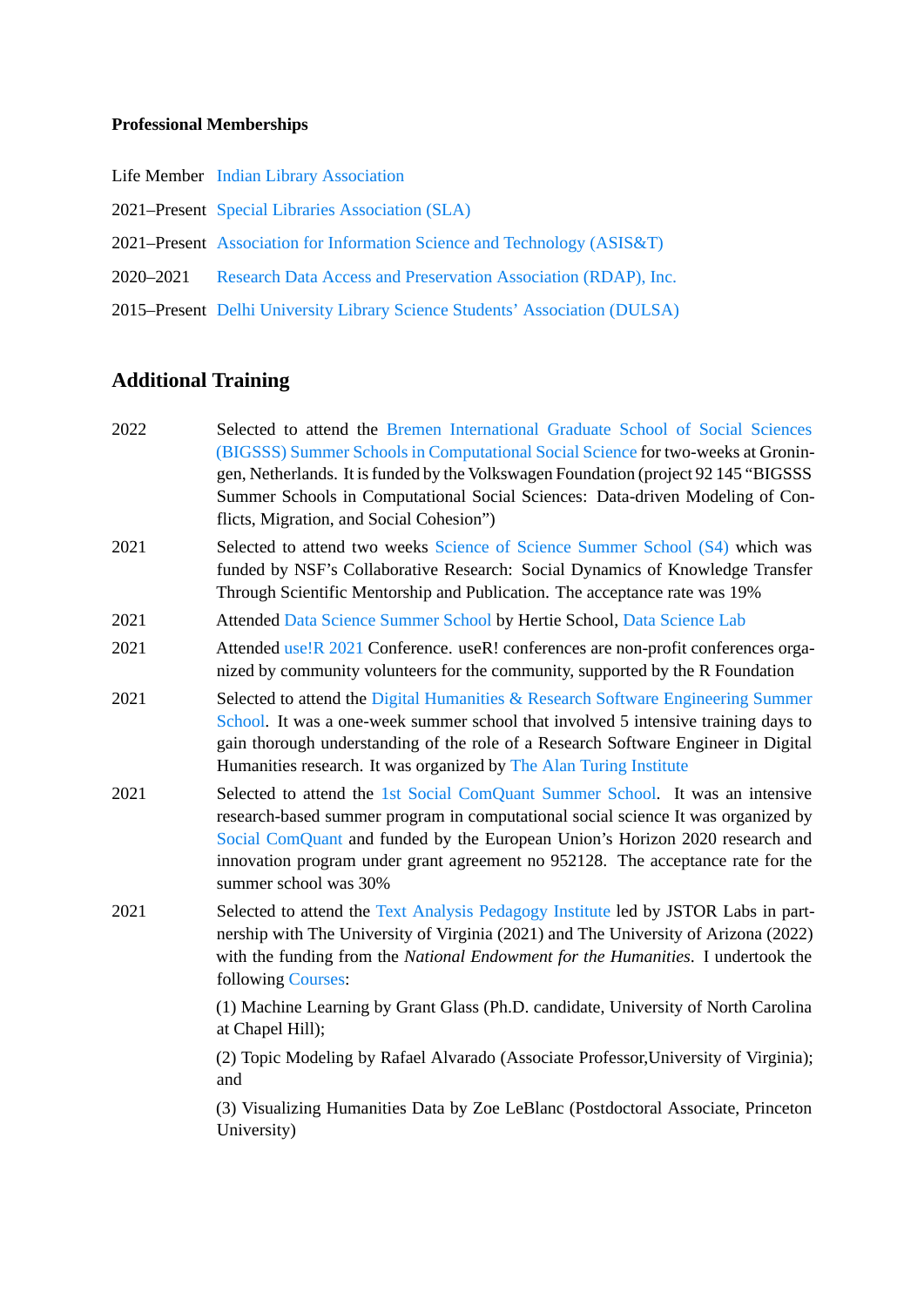#### **Professional Memberships**

- Life Member [Indian Library Association](https://ilaindia.co.in/)
- 2021–Present [Special Libraries Association \(SLA\)](https://www.sla.org/)
- 2021–Present [Association for Information Science and Technology \(ASIS&T\)](https://www.asist.org/)
- 2020–2021 [Research Data Access and Preservation Association \(RDAP\), Inc.](https://rdapassociation.org/)
- 2015–Present [Delhi University Library Science Students' Association \(DULSA\)](http://dlis.du.ac.in/dulsa.html)

### **Additional Training**

2022 Selected to attend the [Bremen International Graduate School of Social Sciences](http://janlo.de/bigssscss/) [\(BIGSSS\) Summer Schools in Computational Social Science](http://janlo.de/bigssscss/) for two-weeks at Groningen, Netherlands. It is funded by the Volkswagen Foundation (project 92 145 "BIGSSS Summer Schools in Computational Social Sciences: Data-driven Modeling of Conflicts, Migration, and Social Cohesion") 2021 Selected to attend two weeks [Science of Science Summer School \(S4\)](https://scienceofscience.org/s4/) which was funded by NSF's Collaborative Research: Social Dynamics of Knowledge Transfer Through Scientific Mentorship and Publication. The acceptance rate was 19% 2021 Attended [Data Science Summer School](https://socialdatascience.network/summerschool.html) by Hertie School, [Data Science Lab](https://www.hertie-school.org/en/datasciencelab) 2021 Attended [use!R 2021](https://user2021.r-project.org/) Conference. useR! conferences are non-profit conferences organized by community volunteers for the community, supported by the R Foundation 2021 Selected to attend the [Digital Humanities & Research Software Engineering Summer](https://www.eventsforce.net/turingevents/frontend/reg/thome.csp?pageID=23222&eventID=72&traceRedir=2) [School.](https://www.eventsforce.net/turingevents/frontend/reg/thome.csp?pageID=23222&eventID=72&traceRedir=2) It was a one-week summer school that involved 5 intensive training days to gain thorough understanding of the role of a Research Software Engineer in Digital Humanities research. It was organized by [The Alan Turing Institute](https://www.turing.ac.uk/) 2021 Selected to attend the [1st Social ComQuant Summer School.](https://socialcomquant.ku.edu.tr/summer-school-2021/) It was an intensive research-based summer program in computational social science It was organized by [Social ComQuant](https://socialcomquant.ku.edu.tr/) and funded by the European Union's Horizon 2020 research and innovation program under grant agreement no 952128. The acceptance rate for the summer school was 30% 2021 Selected to attend the [Text Analysis Pedagogy Institute](https://labs.jstor.org/tapi/) led by JSTOR Labs in partnership with The University of Virginia (2021) and The University of Arizona (2022) with the funding from the *National Endowment for the Humanities*. I undertook the following [Courses]((http://labs.jstor.org/tapi-courses/)): (1) Machine Learning by Grant Glass (Ph.D. candidate, University of North Carolina at Chapel Hill); (2) Topic Modeling by Rafael Alvarado (Associate Professor,University of Virginia); and (3) Visualizing Humanities Data by Zoe LeBlanc (Postdoctoral Associate, Princeton University)